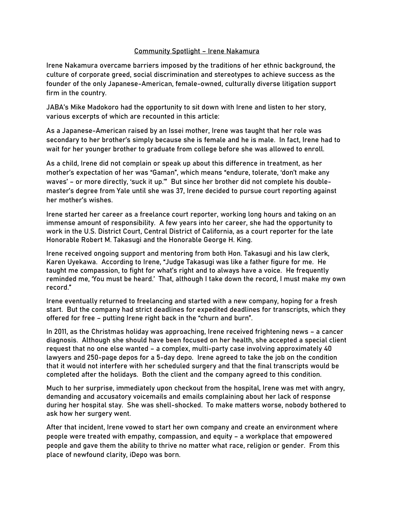## Community Spotlight – Irene Nakamura

Irene Nakamura overcame barriers imposed by the traditions of her ethnic background, the culture of corporate greed, social discrimination and stereotypes to achieve success as the founder of the only Japanese-American, female-owned, culturally diverse litigation support firm in the country.

JABA's Mike Madokoro had the opportunity to sit down with Irene and listen to her story, various excerpts of which are recounted in this article:

As a Japanese-American raised by an Issei mother, Irene was taught that her role was secondary to her brother's simply because she is female and he is male. In fact, Irene had to wait for her younger brother to graduate from college before she was allowed to enroll.

As a child, Irene did not complain or speak up about this difference in treatment, as her mother's expectation of her was "Gaman", which means "endure, tolerate, 'don't make any waves' – or more directly, 'suck it up.'" But since her brother did not complete his doublemaster's degree from Yale until she was 37, Irene decided to pursue court reporting against her mother's wishes.

Irene started her career as a freelance court reporter, working long hours and taking on an immense amount of responsibility. A few years into her career, she had the opportunity to work in the U.S. District Court, Central District of California, as a court reporter for the late Honorable Robert M. Takasugi and the Honorable George H. King.

Irene received ongoing support and mentoring from both Hon. Takasugi and his law clerk, Karen Uyekawa. According to Irene, "Judge Takasugi was like a father figure for me. He taught me compassion, to fight for what's right and to always have a voice. He frequently reminded me, 'You must be heard.' That, although I take down the record, I must make my own record."

Irene eventually returned to freelancing and started with a new company, hoping for a fresh start. But the company had strict deadlines for expedited deadlines for transcripts, which they offered for free – putting Irene right back in the "churn and burn".

In 2011, as the Christmas holiday was approaching, Irene received frightening news – a cancer diagnosis. Although she should have been focused on her health, she accepted a special client request that no one else wanted – a complex, multi-party case involving approximately 40 lawyers and 250-page depos for a 5-day depo. Irene agreed to take the job on the condition that it would not interfere with her scheduled surgery and that the final transcripts would be completed after the holidays. Both the client and the company agreed to this condition.

Much to her surprise, immediately upon checkout from the hospital, Irene was met with angry, demanding and accusatory voicemails and emails complaining about her lack of response during her hospital stay. She was shell-shocked. To make matters worse, nobody bothered to ask how her surgery went.

After that incident, Irene vowed to start her own company and create an environment where people were treated with empathy, compassion, and equity – a workplace that empowered people and gave them the ability to thrive no matter what race, religion or gender. From this place of newfound clarity, iDepo was born.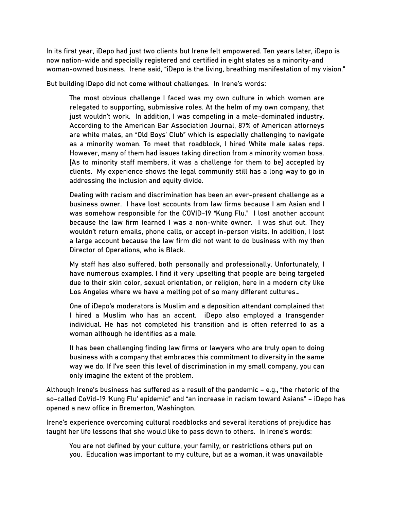In its first year, iDepo had just two clients but Irene felt empowered. Ten years later, iDepo is now nation-wide and specially registered and certified in eight states as a minority-and woman-owned business. Irene said, "iDepo is the living, breathing manifestation of my vision."

But building iDepo did not come without challenges. In Irene's words:

The most obvious challenge I faced was my own culture in which women are relegated to supporting, submissive roles. At the helm of my own company, that just wouldn't work. In addition, I was competing in a male-dominated industry. According to the American Bar Association Journal, 87% of American attorneys are white males, an "Old Boys' Club" which is especially challenging to navigate as a minority woman. To meet that roadblock, I hired White male sales reps. However, many of them had issues taking direction from a minority woman boss. [As to minority staff members, it was a challenge for them to be] accepted by clients. My experience shows the legal community still has a long way to go in addressing the inclusion and equity divide.

Dealing with racism and discrimination has been an ever-present challenge as a business owner. I have lost accounts from law firms because I am Asian and I was somehow responsible for the COVID-19 "Kung Flu." I lost another account because the law firm learned I was a non-white owner. I was shut out. They wouldn't return emails, phone calls, or accept in-person visits. In addition, I lost a large account because the law firm did not want to do business with my then Director of Operations, who is Black.

My staff has also suffered, both personally and professionally. Unfortunately, I have numerous examples. I find it very upsetting that people are being targeted due to their skin color, sexual orientation, or religion, here in a modern city like Los Angeles where we have a melting pot of so many different cultures…

One of iDepo's moderators is Muslim and a deposition attendant complained that I hired a Muslim who has an accent. iDepo also employed a transgender individual. He has not completed his transition and is often referred to as a woman although he identifies as a male.

It has been challenging finding law firms or lawyers who are truly open to doing business with a company that embraces this commitment to diversity in the same way we do. If I've seen this level of discrimination in my small company, you can only imagine the extent of the problem.

Although Irene's business has suffered as a result of the pandemic – e.g., "the rhetoric of the so-called CoVid-19 'Kung Flu' epidemic" and "an increase in racism toward Asians" – iDepo has opened a new office in Bremerton, Washington.

Irene's experience overcoming cultural roadblocks and several iterations of prejudice has taught her life lessons that she would like to pass down to others. In Irene's words:

You are not defined by your culture, your family, or restrictions others put on you. Education was important to my culture, but as a woman, it was unavailable